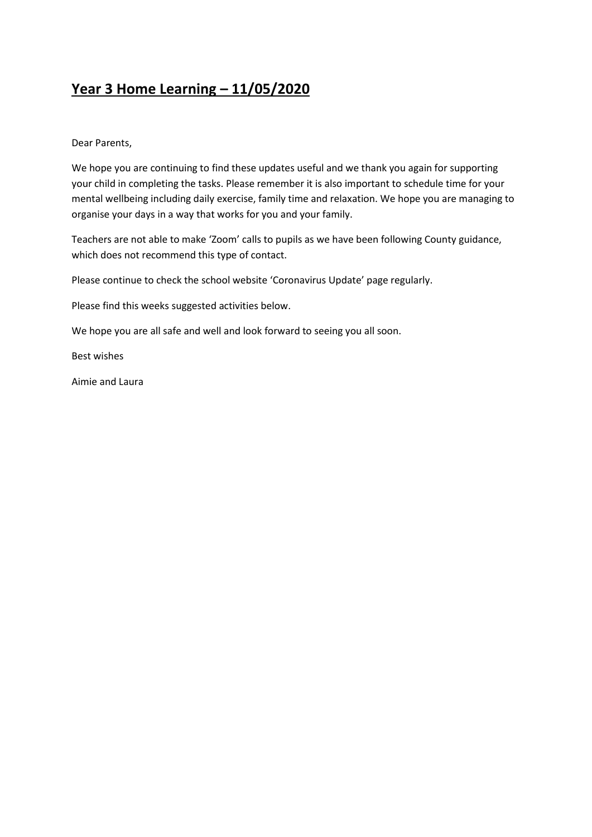#### **Year 3 Home Learning – 11/05/2020**

Dear Parents,

We hope you are continuing to find these updates useful and we thank you again for supporting your child in completing the tasks. Please remember it is also important to schedule time for your mental wellbeing including daily exercise, family time and relaxation. We hope you are managing to organise your days in a way that works for you and your family.

Teachers are not able to make 'Zoom' calls to pupils as we have been following County guidance, which does not recommend this type of contact.

Please continue to check the school website 'Coronavirus Update' page regularly.

Please find this weeks suggested activities below.

We hope you are all safe and well and look forward to seeing you all soon.

Best wishes

Aimie and Laura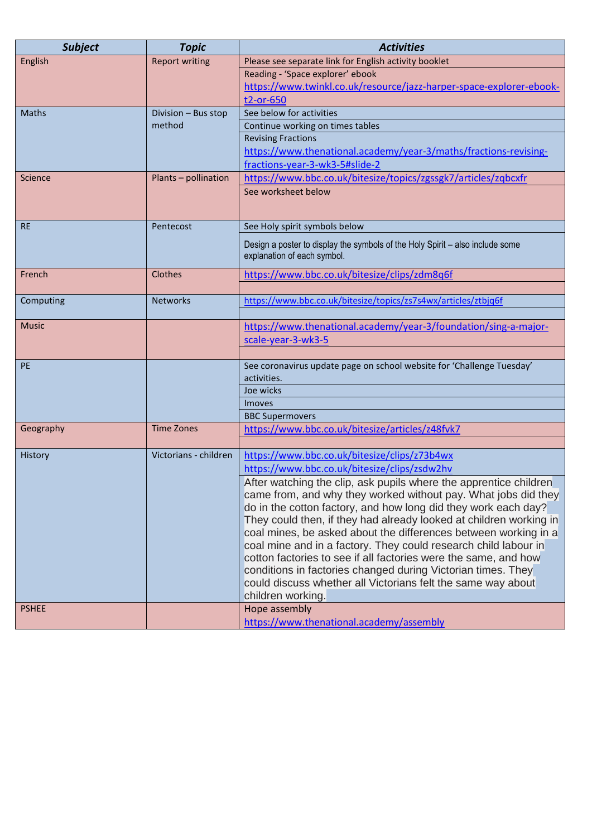| <b>Subject</b> | <b>Topic</b>          | <b>Activities</b>                                                                                                                    |  |  |
|----------------|-----------------------|--------------------------------------------------------------------------------------------------------------------------------------|--|--|
| English        | <b>Report writing</b> | Please see separate link for English activity booklet                                                                                |  |  |
|                |                       | Reading - 'Space explorer' ebook                                                                                                     |  |  |
|                |                       | https://www.twinkl.co.uk/resource/jazz-harper-space-explorer-ebook-                                                                  |  |  |
|                |                       | t2-or-650                                                                                                                            |  |  |
| <b>Maths</b>   | Division - Bus stop   | See below for activities                                                                                                             |  |  |
|                | method                | Continue working on times tables                                                                                                     |  |  |
|                |                       | <b>Revising Fractions</b>                                                                                                            |  |  |
|                |                       | https://www.thenational.academy/year-3/maths/fractions-revising-                                                                     |  |  |
|                |                       | fractions-year-3-wk3-5#slide-2                                                                                                       |  |  |
| Science        | Plants - pollination  | https://www.bbc.co.uk/bitesize/topics/zgssgk7/articles/zqbcxfr                                                                       |  |  |
|                |                       | See worksheet below                                                                                                                  |  |  |
|                |                       |                                                                                                                                      |  |  |
| <b>RE</b>      | Pentecost             | See Holy spirit symbols below                                                                                                        |  |  |
|                |                       | Design a poster to display the symbols of the Holy Spirit – also include some                                                        |  |  |
|                |                       | explanation of each symbol.                                                                                                          |  |  |
| French         | Clothes               |                                                                                                                                      |  |  |
|                |                       | https://www.bbc.co.uk/bitesize/clips/zdm8q6f                                                                                         |  |  |
| Computing      | <b>Networks</b>       | https://www.bbc.co.uk/bitesize/topics/zs7s4wx/articles/ztbjq6f                                                                       |  |  |
|                |                       |                                                                                                                                      |  |  |
| <b>Music</b>   |                       | https://www.thenational.academy/year-3/foundation/sing-a-major-                                                                      |  |  |
|                |                       | scale-year-3-wk3-5                                                                                                                   |  |  |
|                |                       |                                                                                                                                      |  |  |
| PE             |                       | See coronavirus update page on school website for 'Challenge Tuesday'                                                                |  |  |
|                |                       | activities.                                                                                                                          |  |  |
|                |                       | Joe wicks                                                                                                                            |  |  |
|                |                       | <b>Imoves</b>                                                                                                                        |  |  |
|                |                       | <b>BBC Supermovers</b>                                                                                                               |  |  |
| Geography      | <b>Time Zones</b>     | https://www.bbc.co.uk/bitesize/articles/z48fvk7                                                                                      |  |  |
|                |                       |                                                                                                                                      |  |  |
| History        | Victorians - children | https://www.bbc.co.uk/bitesize/clips/z73b4wx                                                                                         |  |  |
|                |                       | https://www.bbc.co.uk/bitesize/clips/zsdw2hv                                                                                         |  |  |
|                |                       | After watching the clip, ask pupils where the apprentice children                                                                    |  |  |
|                |                       | came from, and why they worked without pay. What jobs did they                                                                       |  |  |
|                |                       | do in the cotton factory, and how long did they work each day?<br>They could then, if they had already looked at children working in |  |  |
|                |                       | coal mines, be asked about the differences between working in a                                                                      |  |  |
|                |                       | coal mine and in a factory. They could research child labour in                                                                      |  |  |
|                |                       | cotton factories to see if all factories were the same, and how                                                                      |  |  |
|                |                       | conditions in factories changed during Victorian times. They                                                                         |  |  |
|                |                       | could discuss whether all Victorians felt the same way about                                                                         |  |  |
|                |                       | children working.                                                                                                                    |  |  |
| <b>PSHEE</b>   |                       | Hope assembly                                                                                                                        |  |  |
|                |                       | https://www.thenational.academy/assembly                                                                                             |  |  |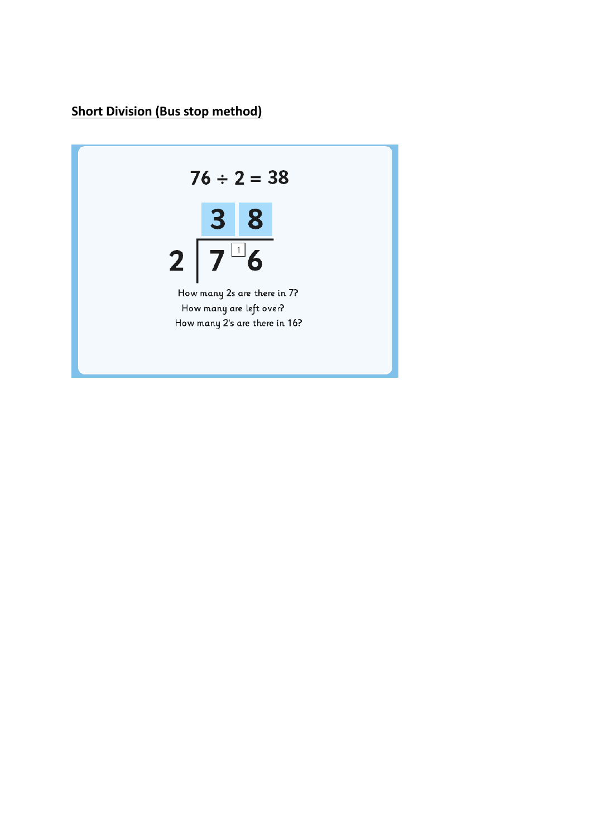### **Short Division (Bus stop method)**

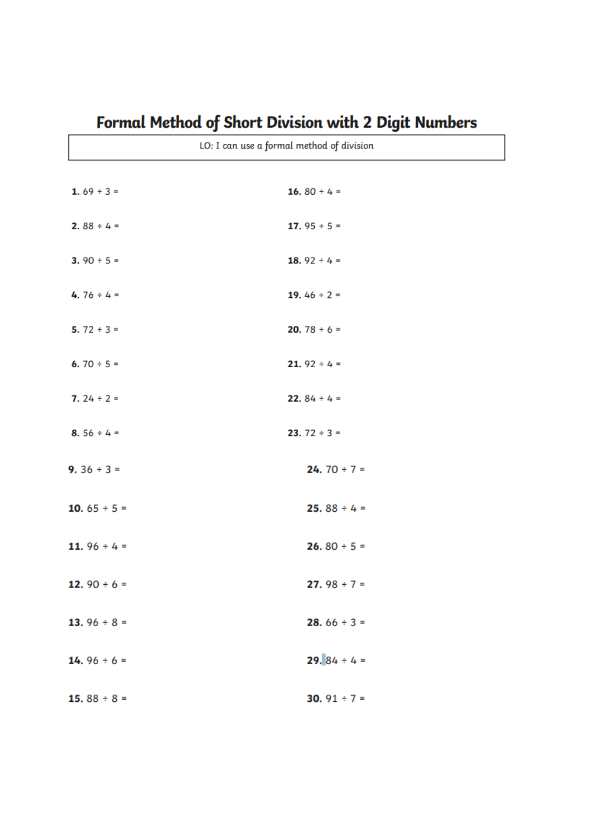| LO: I can use a formal method of division |                          |  |  |  |
|-------------------------------------------|--------------------------|--|--|--|
|                                           |                          |  |  |  |
| 1. $69 \div 3 =$                          | 16.80 ÷ 4 =              |  |  |  |
|                                           |                          |  |  |  |
|                                           |                          |  |  |  |
| 2.88 ÷ 4 =                                | 17. $95 ÷ 5 =$           |  |  |  |
|                                           |                          |  |  |  |
| 3. 90 $\div$ 5 =                          | 18. $92 \div 4 =$        |  |  |  |
|                                           |                          |  |  |  |
| 4.76 ÷ 4 =                                | 19.46 ÷ 2 =              |  |  |  |
|                                           |                          |  |  |  |
| 5. $72 \div 3 =$                          | <b>20.</b> 78 $\div$ 6 = |  |  |  |
|                                           |                          |  |  |  |
| 6.70 ÷ 5 =                                | <b>21.</b> 92 ÷ 4 =      |  |  |  |
|                                           |                          |  |  |  |
|                                           |                          |  |  |  |
| 7. $24 \div 2 =$                          | <b>22.</b> $84 \div 4 =$ |  |  |  |
|                                           |                          |  |  |  |
| 8.56 ÷ 4 =                                | <b>23.</b> $72 \div 3 =$ |  |  |  |
|                                           |                          |  |  |  |
| 9. $36 ÷ 3 =$                             | 24. 70 $\div$ 7 =        |  |  |  |
|                                           |                          |  |  |  |
|                                           |                          |  |  |  |
| 10. $65 \div 5 =$                         | <b>25.</b> $88 \div 4 =$ |  |  |  |
|                                           |                          |  |  |  |
| 11. $96 \div 4 =$                         | <b>26.</b> 80 $\div$ 5 = |  |  |  |
|                                           |                          |  |  |  |
| 12. $90 \div 6 =$                         | 27. $98 ÷ 7 =$           |  |  |  |
|                                           |                          |  |  |  |
|                                           |                          |  |  |  |
| 13. $96 \div 8 =$                         | <b>28.</b> $66 \div 3 =$ |  |  |  |
|                                           |                          |  |  |  |
| 14. $96 \div 6 =$                         | <b>29.</b> $84 \div 4 =$ |  |  |  |
|                                           |                          |  |  |  |
|                                           |                          |  |  |  |
| 15.88 $\div$ 8 =                          | 30. $91 \div 7 =$        |  |  |  |

## Formal Method of Short Division with 2 Digit Numbers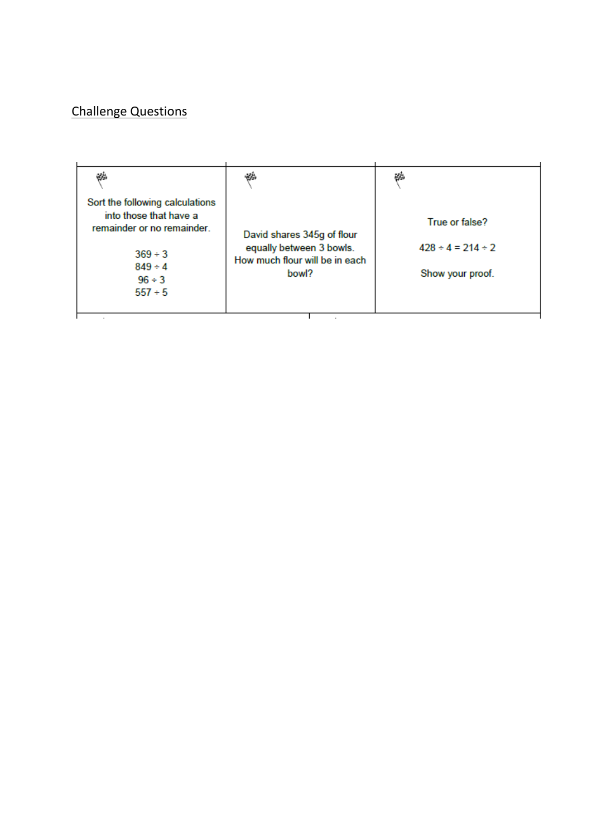### Challenge Questions

| ψģ,                                                                                    | خت                                                     | ψģ                                          |
|----------------------------------------------------------------------------------------|--------------------------------------------------------|---------------------------------------------|
| Sort the following calculations<br>into those that have a<br>remainder or no remainder | David shares 345g of flour<br>equally between 3 bowls. | True or false?<br>$428 \div 4 = 214 \div 2$ |
| $369 \div 3$<br>$849 \div 4$<br>$96 \div 3$<br>$557 \div 5$                            | How much flour will be in each<br>bowl?                | Show your proof.                            |
|                                                                                        |                                                        |                                             |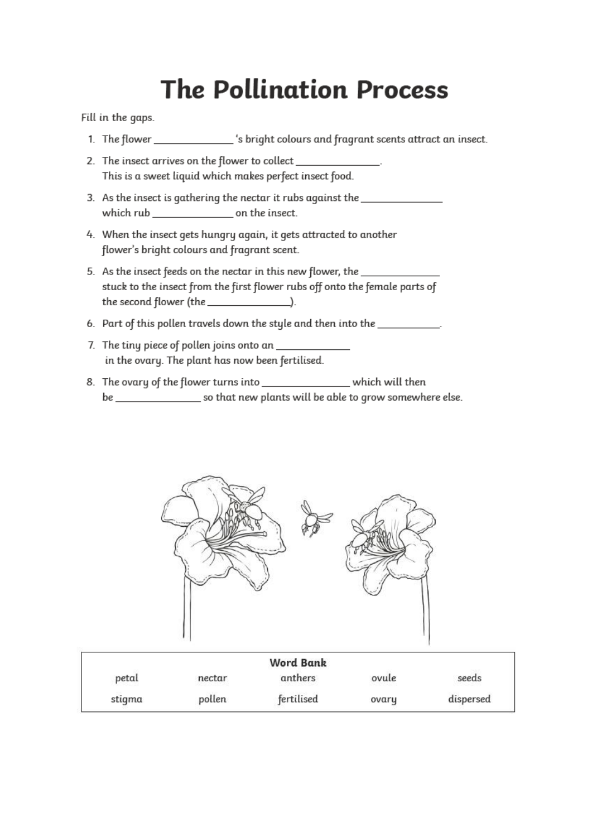# **The Pollination Process**

Fill in the gaps.

- 1. The flower \_\_\_\_\_\_\_\_\_\_\_\_\_\_\_\_\_\_\_\_'s bright colours and fragrant scents attract an insect.
- 2. The insect arrives on the flower to collect This is a sweet liquid which makes perfect insect food.
- 3. As the insect is gathering the nectar it rubs against the \_\_\_\_\_\_\_\_\_\_\_\_\_\_\_\_\_\_\_ which rub on the insect.
- 4. When the insect gets hungry again, it gets attracted to another flower's bright colours and fragrant scent.
- 5. As the insect feeds on the nectar in this new flower, the \_\_\_\_\_\_\_\_\_ stuck to the insect from the first flower rubs off onto the female parts of the second flower (the  $\frac{1}{\sqrt{1-\frac{1}{2}}}\left| \frac{1}{\sqrt{1-\frac{1}{2}}}\right|$ ).
- 6. Part of this pollen travels down the style and then into the \_\_\_\_\_\_\_\_\_\_.
- 7. The tiny piece of pollen joins onto an \_\_\_\_\_\_\_ in the ovary. The plant has now been fertilised.
- 8. The ovary of the flower turns into \_\_\_\_\_\_\_\_\_\_\_\_\_\_\_\_\_\_ which will then



|        |        | <b>Word Bank</b>               |       |           |
|--------|--------|--------------------------------|-------|-----------|
| petal  | nectar | anthers<br>a ayyun ayyan san s | ovule | seeds     |
| stigma | pollen | fertilised                     | ovary | dispersed |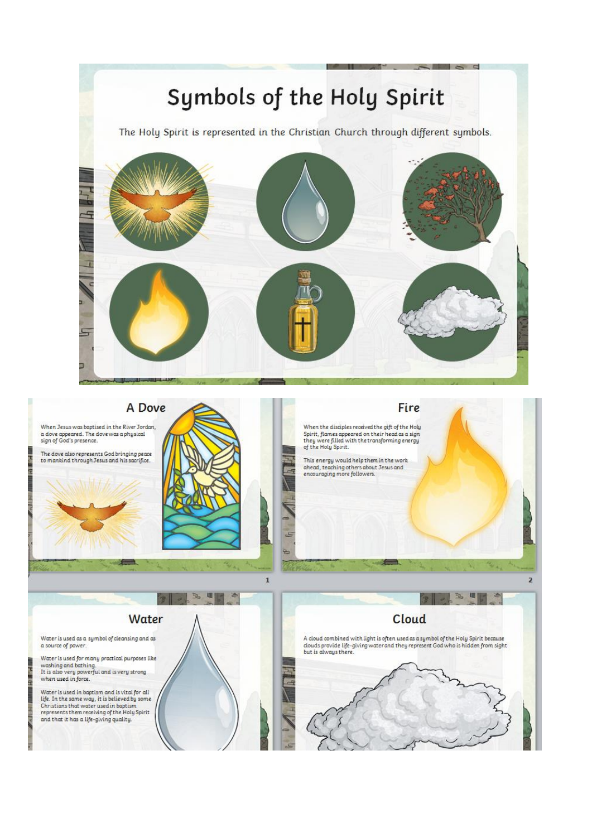